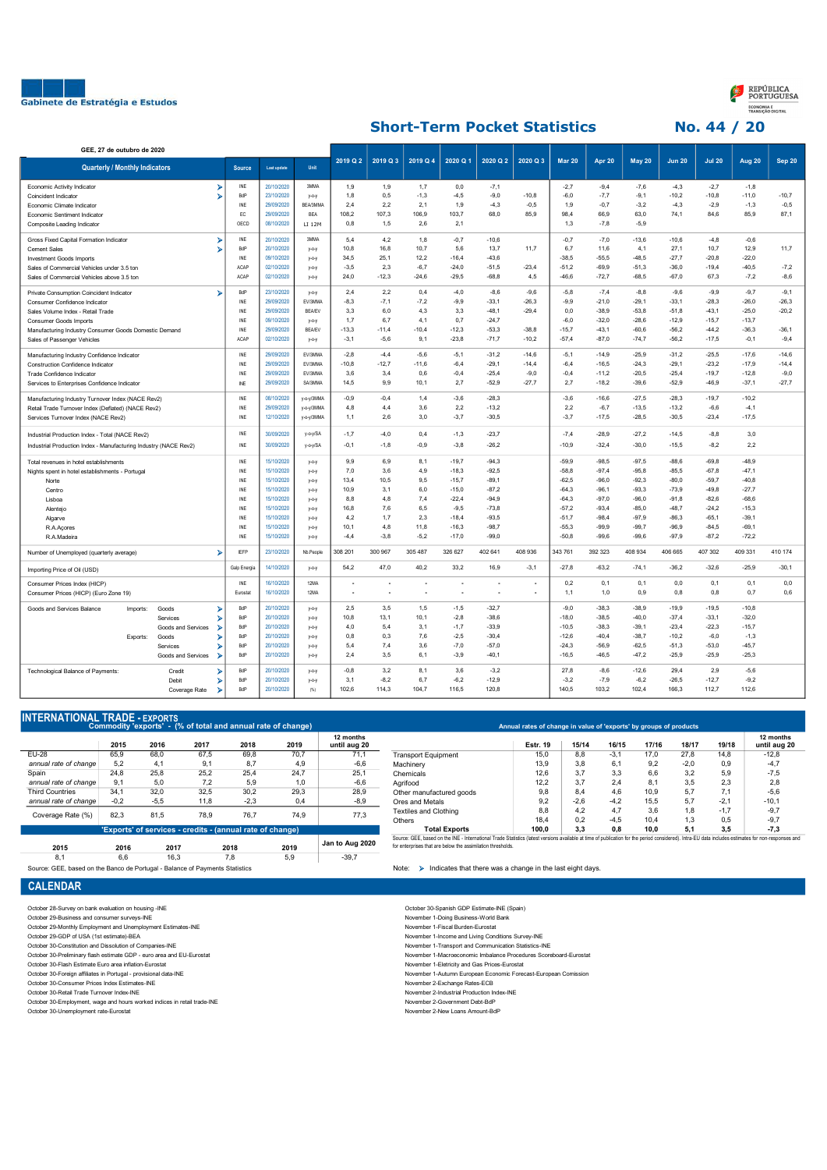



## Short-Term Pocket Statistics No. 44 / 20

| GEE, 27 de outubro de 2020                                       |                         |                        |                    |               |          |          |          |          |          |                |               |         |               |               |               |         |               |
|------------------------------------------------------------------|-------------------------|------------------------|--------------------|---------------|----------|----------|----------|----------|----------|----------------|---------------|---------|---------------|---------------|---------------|---------|---------------|
| <b>Quarterly / Monthly Indicators</b>                            |                         | <b>Source</b>          | <b>Last update</b> | <b>Unit</b>   | 2019 Q 2 | 2019 Q 3 | 2019 Q 4 | 2020 Q 1 | 2020 Q 2 | 2020 Q 3       | <b>Mar 20</b> | Apr 20  | <b>May 20</b> | <b>Jun 20</b> | <b>Jul 20</b> | Aug 20  | <b>Sep 20</b> |
| Economic Activity Indicator                                      | ⋗                       | INE                    | 20/10/2020         | 3MMA          | 1,9      | 1,9      | 1,7      | 0,0      | $-7,1$   |                | $-2,7$        | $-9,4$  | $-7,6$        | $-4,3$        | $-2,7$        | $-1,8$  |               |
| Coincident Indicator                                             | ⋗                       | BdP                    | 23/10/2020         | $V-O-V$       | 1,8      | 0,5      | $-1,3$   | $-4,5$   | $-9,0$   | $-10,8$        | $-6,0$        | $-7,7$  | $-9,1$        | $-10,2$       | $-10,8$       | $-11,0$ | $-10,7$       |
| Economic Climate Indicator                                       |                         | INE                    | 29/09/2020         | BEA/3MMA      | 2,4      | 2,2      | 2,1      | 1,9      | $-4,3$   | $-0,5$         | 1,9           | $-0,7$  | $-3,2$        | $-4,3$        | $-2,9$        | $-1,3$  | $-0,5$        |
| Economic Sentiment Indicator                                     |                         | EC.                    | 29/09/2020         | <b>RFA</b>    | 108.2    | 107,3    | 106,9    | 103,7    | 68,0     | 85,9           | 98,4          | 66,9    | 63,0          | 74,1          | 84,6          | 85,9    | 87,1          |
| Composite Leading Indicator                                      |                         | OECD                   | 08/10/2020         | LI 12M        | 0,8      | 1,5      | 2,6      | 2,1      |          |                | 1,3           | $-7,8$  | $-5,9$        |               |               |         |               |
| Gross Fixed Capital Formation Indicator                          | ъ                       | INE                    | 20/10/2020         | 3MMA          | 5,4      | 4,2      | 1,8      | $-0,7$   | $-10,6$  |                | $-0,7$        | $-7,0$  | $-13,6$       | $-10,6$       | $-4,8$        | $-0,6$  |               |
| Cement Sales                                                     |                         | BdP                    | 20/10/2020         | $y$ -o-y      | 10,8     | 16,8     | 10,7     | 5,6      | 13,7     | 11,7           | 6,7           | 11,6    | 4,1           | 27,1          | 10,7          | 12,9    | 11,7          |
| <b>Investment Goods Imports</b>                                  |                         | INE                    | 09/10/2020         | $y - 0 - y$   | 34,5     | 25,1     | 12,2     | $-16,4$  | $-43,6$  |                | $-38,5$       | $-55,5$ | $-48,5$       | $-27,7$       | $-20,8$       | $-22,0$ |               |
| Sales of Commercial Vehicles under 3.5 ton                       |                         | <b>ACAP</b>            | 02/10/2020         | $y$ -0- $y$   | $-3,5$   | 2,3      | $-6,7$   | $-24,0$  | $-51,5$  | $-23,4$        | $-51,2$       | $-69,9$ | $-51,3$       | $-36,0$       | $-19,4$       | $-40,5$ | $-7,2$        |
| Sales of Commercial Vehicles above 3.5 ton                       |                         | ACAP                   | 02/10/2020         | $y$ -0- $y$   | 24,0     | $-12,3$  | $-24,6$  | $-29,5$  | $-68,8$  | 4,5            | $-46,6$       | $-72,7$ | $-68,5$       | $-67,0$       | 67,3          | $-7,2$  | $-8,6$        |
| Private Consumption Coincident Indicator                         | х                       | BdP                    | 23/10/2020         | $V-O-V$       | 2,4      | 2,2      | 0,4      | $-4,0$   | $-8,6$   | $-9,6$         | $-5,8$        | $-7,4$  | $-8,8$        | $-9,6$        | $-9,9$        | $-9.7$  | $-9,1$        |
| Consumer Confidence Indicator                                    |                         | INE                    | 29/09/2020         | EV/3MMA       | $-8,3$   | $-7,1$   | $-7,2$   | $-9,9$   | $-33,1$  | $-26.3$        | $-9,9$        | $-21,0$ | $-29,1$       | $-33,1$       | $-28.3$       | $-26,0$ | $-26,3$       |
| Sales Volume Index - Retail Trade                                |                         | INE                    | 29/09/2020         | <b>BEA/EV</b> | 3,3      | 6,0      | 4,3      | 3,3      | $-48.1$  | $-29.4$        | 0,0           | $-38.9$ | $-53,8$       | $-51,8$       | $-43,1$       | $-25,0$ | $-20,2$       |
| <b>Consumer Goods Imports</b>                                    |                         | INF                    | 09/10/2020         | $V-O-V$       | 1,7      | 6,7      | 4,1      | 0,7      | $-24.7$  |                | $-6,0$        | $-32,0$ | $-28,6$       | $-12,9$       | $-15,7$       | $-13,7$ |               |
| Manufacturing Industry Consumer Goods Domestic Demand            |                         | INE                    | 29/09/2020         | <b>BEA/EV</b> | $-13,3$  | $-11,4$  | $-10,4$  | $-12.3$  | $-53,3$  | $-38.8$        | $-15,7$       | $-43,1$ | $-60,6$       | $-56,2$       | $-44,2$       | $-36,3$ | $-36,1$       |
| Sales of Passenger Vehicles                                      |                         | ACAP                   | 02/10/2020         | $V-O-V$       | $-3,1$   | $-5,6$   | 9,1      | $-23.8$  | $-71,7$  | $-10,2$        | $-57,4$       | $-87.0$ | $-74,7$       | $-56,2$       | $-17,5$       | $-0,1$  | $-9,4$        |
| Manufacturing Industry Confidence Indicator                      |                         | INE                    | 29/09/2020         | EV/3MMA       | $-2,8$   | $-4,4$   | $-5,6$   | $-5,1$   | $-31,2$  | $-14,6$        | $-5,1$        | $-14.9$ | $-25,9$       | $-31,2$       | $-25,5$       | $-17,6$ | $-14,6$       |
| Construction Confidence Indicator                                |                         | INE                    | 29/09/2020         | EV/3MMA       | $-10,8$  | $-12,7$  | $-11,6$  | $-6,4$   | $-29.1$  | $-14,4$        | $-6,4$        | $-16,5$ | $-24,3$       | $-29,1$       | $-23,2$       | $-17,9$ | $-14,4$       |
| Trade Confidence Indicator                                       |                         | INE                    | 29/09/2020         | EV/3MMA       | 3,6      | 3,4      | 0,6      | $-0,4$   | $-25.4$  | $-9,0$         | $-0,4$        | $-11,2$ | $-20,5$       | $-25,4$       | $-19,7$       | $-12.8$ | $-9,0$        |
| Services to Enterprises Confidence Indicator                     |                         | $\mathbb{N}\mathsf{E}$ | 29/09/2020         | SA/3MMA       | 14,5     | 9,9      | 10,1     | 2,7      | $-52,9$  | $-27,7$        | 2,7           | $-18,2$ | $-39,6$       | $-52,9$       | $-46,9$       | $-37,1$ | $-27,7$       |
| Manufacturing Industry Turnover Index (NACE Rev2)                |                         | INE                    | 08/10/2020         | y-o-y/3MMA    | $-0,9$   | $-0.4$   | 1,4      | $-3,6$   | $-28.3$  |                | $-3,6$        | $-16,6$ | $-27.5$       | $-28,3$       | $-19,7$       | $-10,2$ |               |
| Retail Trade Turnover Index (Deflated) (NACE Rev2)               |                         | INE                    | 29/09/2020         | y-o-y/3MMA    | 4,8      | 4,4      | 3,6      | 2,2      | $-13.2$  |                | 2,2           | $-6,7$  | $-13,5$       | $-13,2$       | $-6,6$        | $-4,1$  |               |
| Services Turnover Index (NACE Rev2)                              |                         | INE                    | 12/10/2020         | y-o-y/3MMA    | 1,1      | 2,6      | 3,0      | $-3,7$   | $-30,5$  |                | $-3,7$        | $-17,5$ | $-28,5$       | $-30,5$       | $-23,4$       | $-17,5$ |               |
| Industrial Production Index - Total (NACE Rev2)                  |                         | INE                    | 30/09/2020         | y-o-y/SA      | $-1,7$   | -4,0     | 0,4      | $-1,3$   | $-23,7$  |                | $-7,4$        | $-28,9$ | $-27,2$       | $-14,5$       | $-8,8$        | 3,0     |               |
| Industrial Production Index - Manufacturing Industry (NACE Rev2) |                         | INE                    | 30/09/2020         | y-o-y/SA      | $-0,1$   | $-1,8$   | $-0,9$   | $-3.8$   | $-26.2$  |                | $-10,9$       | $-32,4$ | $-30,0$       | $-15,5$       | $-8,2$        | 2,2     |               |
| Total revenues in hotel establishments                           |                         | INF                    | 15/10/2020         | $y$ -0- $y$   | 9,9      | 6,9      | 8,1      | $-19,7$  | $-94,3$  |                | $-59,9$       | $-98,5$ | $-97,5$       | $-88,6$       | $-69,8$       | $-48,9$ |               |
| Nights spent in hotel establishments - Portugal                  |                         | INF                    | 15/10/2020         | $y$ -0- $y$   | 7,0      | 3,6      | 4,9      | $-18,3$  | $-92,5$  |                | $-58,8$       | $-97.4$ | $-95,8$       | $-85,5$       | $-67,8$       | $-47,1$ |               |
| Norte                                                            |                         | INE                    | 15/10/2020         | $y$ -0- $y$   | 13.4     | 10.5     | 9.5      | $-15,7$  | $-89.1$  |                | $-62.5$       | $-96.0$ | $-92.3$       | $-80.0$       | $-59.7$       | $-40.8$ |               |
| Centro                                                           |                         | INE                    | 15/10/2020         | $V-O-V$       | 10.9     | 3.1      | 6,0      | $-15.0$  | $-87.2$  |                | $-64.3$       | $-96.1$ | $-93.3$       | $-73.9$       | $-49.8$       | $-27.7$ |               |
| Lisboa                                                           |                         | INE                    | 15/10/2020         | $y$ -0-y      | 8,8      | 4,8      | 7,4      | $-22.4$  | $-94.9$  |                | $-64.3$       | $-97.0$ | $-96,0$       | $-91,8$       | $-82,6$       | $-68,6$ |               |
| Alentejo                                                         |                         | INE                    | 15/10/2020         | $y$ -0-y      | 16,8     | 7,6      | 6,5      | $-9,5$   | $-73.8$  |                | $-57.2$       | $-93,4$ | $-85,0$       | $-48,7$       | $-24,2$       | $-15,3$ |               |
| Algarve                                                          |                         | INE                    | 15/10/2020         | $y$ -0- $y$   | 4,2      | 1,7      | 2,3      | $-18,4$  | $-93,5$  |                | $-51,7$       | $-98.4$ | $-97.9$       | $-86,3$       | $-65,1$       | $-39,1$ |               |
| R.A.Açores                                                       |                         | INE                    | 15/10/2020         | $V-O-V$       | 10,1     | 4,8      | 11,8     | $-16,3$  | $-98.7$  |                | $-55,3$       | $-99.9$ | $-99,7$       | $-96,9$       | $-84.5$       | $-69.1$ |               |
| R.A.Madeira                                                      |                         | INE                    | 15/10/2020         | $y$ -0- $y$   | $-4,4$   | $-3,8$   | $-5.2$   | $-17,0$  | $-99.0$  |                | $-50,8$       | $-99.6$ | $-99.6$       | $-97.9$       | $-87.2$       | $-72.2$ |               |
| Number of Unemployed (quarterly average)                         | ▸                       | <b>IEFP</b>            | 23/10/2020         | Nb.People     | 308 201  | 300 967  | 305 487  | 326 627  | 402 641  | 408 936        | 343 761       | 392 323 | 408 934       | 406 665       | 407 302       | 409 331 | 410 174       |
| Importing Price of Oil (USD)                                     |                         | Galp Energia           | 14/10/2020         | $y$ -0- $y$   | 54,2     | 47,0     | 40,2     | 33,2     | 16,9     | $-3,1$         | $-27,8$       | $-63,2$ | $-74,1$       | $-36,2$       | $-32,6$       | $-25,9$ | $-30,1$       |
| Consumer Prices Index (HICP)                                     |                         | INE                    | 16/10/2020         | 12MA          |          |          |          |          |          |                | 0,2           | 0,1     | 0,1           | 0,0           | 0,1           | 0,1     | 0,0           |
| Consumer Prices (HICP) (Euro Zone 19)                            |                         | Eurostat               | 16/10/2020         | 12MA          |          |          |          |          |          | $\blacksquare$ | 1,1           | 1,0     | 0,9           | 0,8           | 0,8           | 0,7     | 0,6           |
| Imports:<br>Goods and Services Balance                           | ъ<br>Goods              | BdP                    | 20/10/2020         | $y$ -0- $y$   | 2,5      | 3,5      | 1,5      | $-1,5$   | $-32,7$  |                | $-9,0$        | $-38.3$ | $-38,9$       | $-19,9$       | $-19,5$       | $-10,8$ |               |
|                                                                  | Services                | BdP                    | 20/10/2020         | $V-O-V$       | 10,8     | 13,1     | 10,1     | $-2,8$   | $-38,6$  |                | $-18,0$       | $-38,5$ | $-40,0$       | $-37,4$       | $-33,1$       | $-32,0$ |               |
|                                                                  | Goods and Services      | BdP                    | 20/10/2020         | $y$ -0- $y$   | 4,0      | 5,4      | 3,1      | $-1,7$   | $-33.9$  |                | $-10,5$       | $-38.3$ | $-39,1$       | $-23,4$       | $-22.3$       | $-15,7$ |               |
| Exports:<br>Goods                                                |                         | BdP                    | 20/10/2020         | $V-O-V$       | 0,8      | 0,3      | 7,6      | $-2,5$   | $-30,4$  |                | $-12,6$       | $-40,4$ | $-38,7$       | $-10,2$       | $-6,0$        | $-1,3$  |               |
|                                                                  | Services                | BdP                    | 20/10/2020         | $V-O-V$       | 5,4      | 7,4      | 3,6      | $-7,0$   | $-57,0$  |                | $-24.3$       | $-56,9$ | $-62,5$       | $-51,3$       | $-53,0$       | $-45,7$ |               |
|                                                                  | Goods and Services<br>ъ | BdP                    | 20/10/2020         | $y - 0 - y$   | 2,4      | 3,5      | 6,1      | $-3,9$   | $-40,1$  |                | $-16,5$       | $-46,5$ | $-47,2$       | $-25,9$       | $-25,9$       | $-25.3$ |               |
| Technological Balance of Payments:                               | Credit<br>⋗             | BdP                    | 20/10/2020         | $V-O-V$       | $-0.8$   | 3.2      | 8,1      | 3,6      | $-3.2$   |                | 27.8          | $-8,6$  | $-12.6$       | 29.4          | 2.9           | $-5,6$  |               |
|                                                                  | Debit                   | BdP                    | 20/10/2020         | $y$ -0- $y$   | 3.1      | $-8.2$   | 6.7      | $-6.2$   | $-12.9$  |                | $-3.2$        | $-7.9$  | $-6.2$        | $-26.5$       | $-12.7$       | $-9.2$  |               |
|                                                                  | Coverage Rate<br>⋗      | BdP                    | 20/10/2020         | (% )          | 102,6    | 114,3    | 104,7    | 116,5    | 120,8    |                | 140,5         | 103,2   | 102,4         | 166,3         | 112,7         | 112,6   |               |
|                                                                  |                         |                        |                    |               |          |          |          |          |          |                |               |         |               |               |               |         |               |

## Commodity 'exports' - (% of total and annual rate of change) INTERNATIONAL TRADE - EXPORTS

|                        | 2015   | 2016                                                      | 2017 | 2018   | 2019 | 12 months<br>until aug 20 |
|------------------------|--------|-----------------------------------------------------------|------|--------|------|---------------------------|
| EU-28                  | 65,9   | 68,0                                                      | 67,5 | 69,8   | 70.7 | 71,1                      |
| annual rate of change  | 5.2    | 4,1                                                       | 9,1  | 8.7    | 4,9  | $-6,6$                    |
| Spain                  | 24.8   | 25.8                                                      | 25.2 | 25.4   | 24.7 | 25.1                      |
| annual rate of change  | 9.1    | 5.0                                                       | 7.2  | 5.9    | 1.0  | $-6,6$                    |
| <b>Third Countries</b> | 34.1   | 32.0                                                      | 32.5 | 30.2   | 29.3 | 28,9                      |
| annual rate of change  | $-0.2$ | $-5,5$                                                    | 11,8 | $-2,3$ | 0.4  | $-8,9$                    |
| Coverage Rate (%)      | 82.3   | 81.5                                                      | 78.9 | 76.7   | 74.9 | 77.3                      |
|                        |        | 'Exports' of services - credits - (annual rate of change) |      |        |      |                           |
| 2015                   | 2016   | 2017                                                      |      | 2018   | 2019 | Jan to Aug 2020           |
| 8,1                    | 6.6    | 16.3                                                      |      | 7.8    | 5.9  | $-39.7$                   |

Source: GEE, based on the Banco de Portugal - Balance of Payments Statistics Note: Indicates Note: > Indicates that there was a change in the last eight days.

## **CALENDAR**

- October 29-Business and consumer surveys-INE
- 
- 
- October 30-Constitution and Dissolution of Companies-Invertocolour 30-Preliminary flash estimate GDP euro area and EU-Eurostat October 30-Flash Estimate Euro area inflation-Eurostat
- 
- October 30-Foreign affiliates in Portugal provisional data-INE<br>October 30-Consumer Prices Index Estimates-INE<br>October 30-Retail Trade Turnover Index-INE<br>October 30-Retail Trade Turnover Index-INE
- 

October 30-Employment, wage and hours worked indices in retail trade-INE<br>October 30-Unemployment rate-Eurostat<br>October 30-Unemployment rate-Eurostat

|                            | <b>Estr. 19</b> | 15/14  | 16/15  | 17/16 | 18/17  | 19/18  | 12 months<br>until aug 20 |
|----------------------------|-----------------|--------|--------|-------|--------|--------|---------------------------|
| <b>Transport Equipment</b> | 15.0            | 8.8    | $-3.1$ | 17.0  | 27.8   | 14.8   | $-12.8$                   |
| Machinery                  | 13.9            | 3.8    | 6.1    | 9.2   | $-2.0$ | 0.9    | $-4,7$                    |
| Chemicals                  | 12.6            | 3.7    | 3.3    | 6.6   | 3.2    | 5.9    | $-7,5$                    |
| Aarifood                   | 12.2            | 3.7    | 2.4    | 8,1   | 3.5    | 2,3    | 2,8                       |
| Other manufactured goods   | 9,8             | 8.4    | 4.6    | 10.9  | 5.7    | 7.1    | $-5.6$                    |
| Ores and Metals            | 9,2             | $-2.6$ | $-4.2$ | 15.5  | 5.7    | $-2.1$ | $-10.1$                   |
| Textiles and Clothing      | 8.8             | 4.2    | 4.7    | 3.6   | 1.8    | $-1.7$ | $-9.7$                    |
| Others                     | 18.4            | 0.2    | $-4.5$ | 10.4  | 1.3    | 0.5    | $-9,7$                    |
| <b>Total Exports</b>       | 100.0           | 3.3    | 0.8    | 10.0  | 5,1    | 3,5    | $-7,3$                    |

October 28-Survey on bank evaluation on housing -INE<br>October 29-Business and consumer surveys-INE of the Survey of the Survey of the Survey of Movember 1-Doing Business-World Bank<br>October 29-Monthly Employment and Unemploy

October 29-Monthly Employment and Unemployment Estimates-INE<br>October 29-GDP of USA (1st estimate) BEA (1989) The State of Month of the State of Month of Movember 1-Income and Living Conditions Survey-INE<br>October 30-Constit

November 1-Transport and Communication Statistics-INE<br>November 1-Macroeconomic Imbalance Procedures Scoreboard-Eurostat<br>November 1-Eletricity and Gas Prices-Eurostat

- 
- october 30-Foreign affiliates in Portugal provisional provisional provisional data-INE November 1-Autumn European Economic Forecast-European Comission<br>- November 2-Exchange Rates-ECB

- 
- November 2-Industrial Production Index-INE<br>November 2-Government Debt-BdP<br>November 2-New Loans Amount-BdP
-